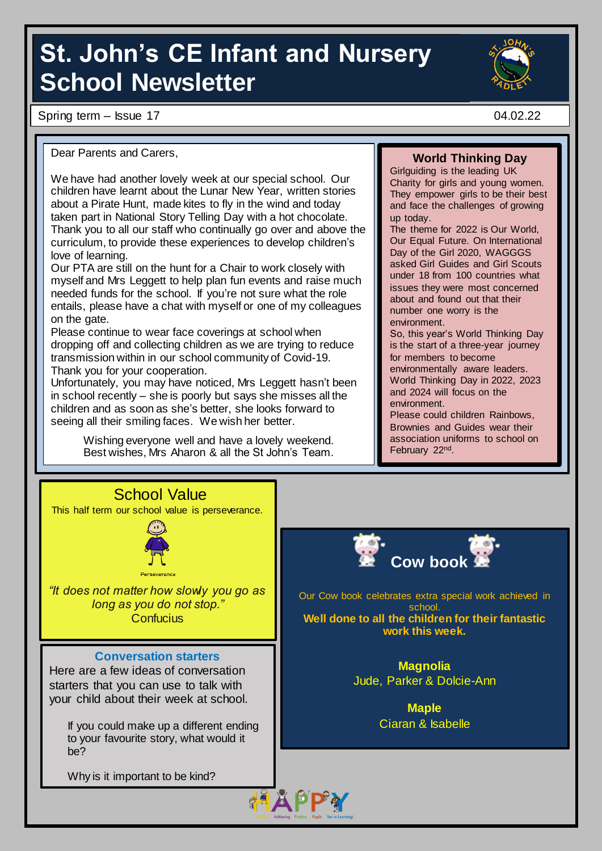# **St. John's CE Infant and Nursery School Newsletter**

Spring term – Issue 17 04.02.22



Dear Parents and Carers,

We have had another lovely week at our special school. Our children have learnt about the Lunar New Year, written stories about a Pirate Hunt, made kites to fly in the wind and today taken part in National Story Telling Day with a hot chocolate. Thank you to all our staff who continually go over and above the curriculum, to provide these experiences to develop children's love of learning.

Our PTA are still on the hunt for a Chair to work closely with myself and Mrs Leggett to help plan fun events and raise much needed funds for the school. If you're not sure what the role entails, please have a chat with myself or one of my colleagues on the gate.

Please continue to wear face coverings at school when dropping off and collecting children as we are trying to reduce transmission within in our school community of Covid-19. Thank you for your cooperation.

Unfortunately, you may have noticed, Mrs Leggett hasn't been in school recently – she is poorly but says she misses all the children and as soon as she's better, she looks forward to seeing all their smiling faces. We wish her better.

> Wishing everyone well and have a lovely weekend. Best wishes, Mrs Aharon & all the St John's Team.

#### **World Thinking Day**

Girlguiding is the leading UK Charity for girls and young women. They empower girls to be their best and face the challenges of growing up today.

The theme for 2022 is Our World, Our Equal Future. On International Day of the Girl 2020, WAGGGS asked Girl Guides and Girl Scouts under 18 from 100 countries what issues they were most concerned about and found out that their number one worry is the environment.

So, this year's World Thinking Day is the start of a three-year journey for members to become environmentally aware leaders. World Thinking Day in 2022, 2023 and 2024 will focus on the environment.

Please could children Rainbows, Brownies and Guides wear their association uniforms to school on February 22<sup>nd</sup>.



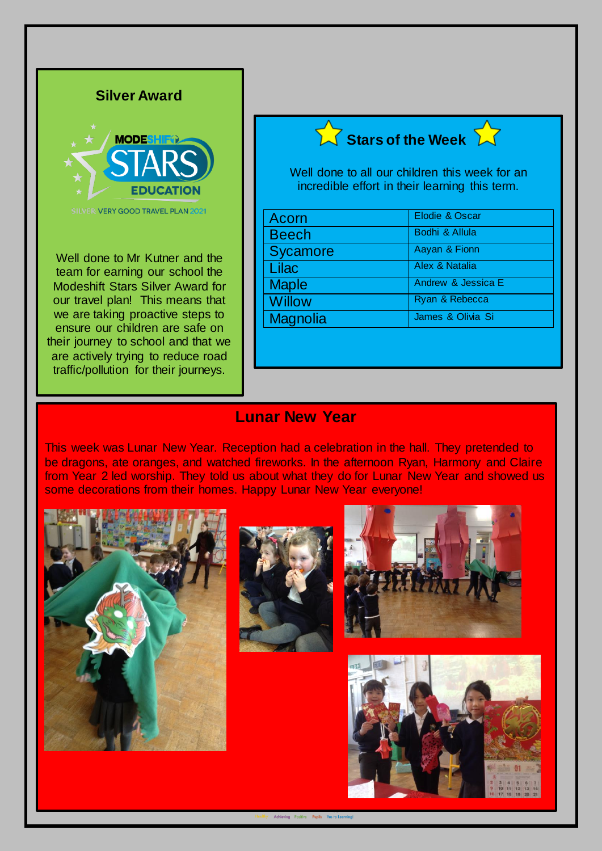

**Silver Award**

**SILVER VERY GOOD TRAVEL PLAN 2021** 

Well done to Mr Kutner and the team for earning our school the Modeshift Stars Silver Award for our travel plan! This means that we are taking proactive steps to ensure our children are safe on their journey to school and that we are actively trying to reduce road traffic/pollution for their journeys.





Well done to all our children this week for an incredible effort in their learning this term.

| Acorn           | Elodie & Oscar                |
|-----------------|-------------------------------|
| <b>Beech</b>    | Bodhi & Allula                |
| <b>Sycamore</b> | Aayan & Fionn                 |
| Lilac           | Alex & Natalia                |
| <b>Maple</b>    | <b>Andrew &amp; Jessica E</b> |
| <b>Willow</b>   | Ryan & Rebecca                |
| <b>Magnolia</b> | James & Olivia Si             |

#### **Lunar New Year**

This week was Lunar New Year. Reception had a celebration in the hall. They pretended to be dragons, ate oranges, and watched fireworks. In the afternoon Ryan, Harmony and Claire from Year 2 led worship. They told us about what they do for Lunar New Year and showed us some decorations from their homes. Happy Lunar New Year everyone!







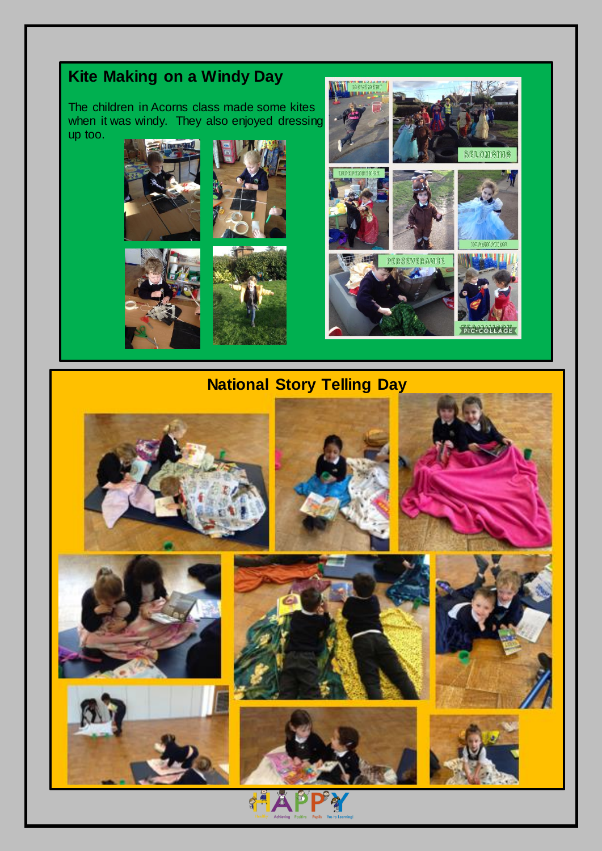## **Kite Making on a Windy Day**

The children in Acorns class made some kites when it was windy. They also enjoyed dressing up too.











### **National Story Telling Day**